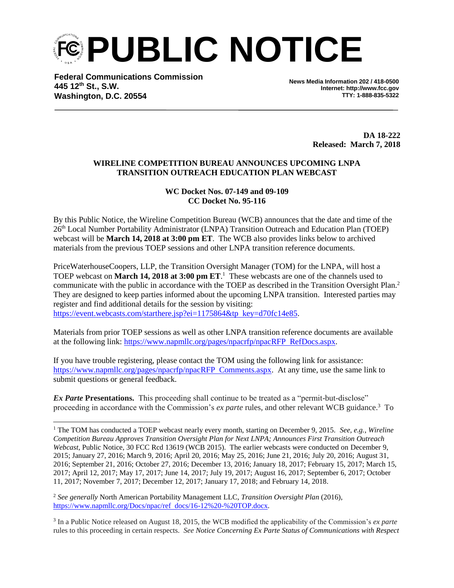**PUBLIC NOTICE** 

**Federal Communications Commission 445 12th St., S.W. Washington, D.C. 20554**

l

**News Media Information 202 / 418-0500 Internet: http://www.fcc.gov TTY: 1-888-835-5322**

> **DA 18-222 Released: March 7, 2018**

## **WIRELINE COMPETITION BUREAU ANNOUNCES UPCOMING LNPA TRANSITION OUTREACH EDUCATION PLAN WEBCAST**

## **WC Docket Nos. 07-149 and 09-109 CC Docket No. 95-116**

By this Public Notice, the Wireline Competition Bureau (WCB) announces that the date and time of the 26th Local Number Portability Administrator (LNPA) Transition Outreach and Education Plan (TOEP) webcast will be **March 14, 2018 at 3:00 pm ET**. The WCB also provides links below to archived materials from the previous TOEP sessions and other LNPA transition reference documents.

PriceWaterhouseCoopers, LLP, the Transition Oversight Manager (TOM) for the LNPA, will host a TOEP webcast on **March 14, 2018 at 3:00 pm ET**. 1 These webcasts are one of the channels used to communicate with the public in accordance with the TOEP as described in the Transition Oversight Plan.<sup>2</sup> They are designed to keep parties informed about the upcoming LNPA transition. Interested parties may register and find additional details for the session by visiting:

https://event.webcasts.com/starthere.jsp?ei=1175864&tp key=d70fc14e85.

Materials from prior TOEP sessions as well as other LNPA transition reference documents are available at the following link: https://www.napmllc.org/pages/npacrfp/npacRFP RefDocs.aspx.

If you have trouble registering, please contact the TOM using the following link for assistance: https://www.napmllc.org/pages/npacrfp/npacRFP Comments.aspx. At any time, use the same link to submit questions or general feedback.

**Ex Parte Presentations.** This proceeding shall continue to be treated as a "permit-but-disclose" proceeding in accordance with the Commission's *ex parte* rules, and other relevant WCB guidance.<sup>3</sup> To

<sup>&</sup>lt;sup>1</sup> The TOM has conducted a TOEP webcast nearly every month, starting on December 9, 2015. *See, e.g., Wireline Competition Bureau Approves Transition Oversight Plan for Next LNPA; Announces First Transition Outreach Webcast*, Public Notice, 30 FCC Rcd 13619 (WCB 2015). The earlier webcasts were conducted on December 9, 2015; January 27, 2016; March 9, 2016; April 20, 2016; May 25, 2016; June 21, 2016; July 20, 2016; August 31, 2016; September 21, 2016; October 27, 2016; December 13, 2016; January 18, 2017; February 15, 2017; March 15, 2017; April 12, 2017; May 17, 2017; June 14, 2017; July 19, 2017; August 16, 2017; September 6, 2017; October 11, 2017; November 7, 2017; December 12, 2017; January 17, 2018; and February 14, 2018.

<sup>2</sup> *See generally* North American Portability Management LLC, *Transition Oversight Plan* (2016), https://www.napmllc.org/Docs/npac/ref docs/16-12%20-%20TOP.docx.

<sup>3</sup> In a Public Notice released on August 18, 2015, the WCB modified the applicability of the Commission's *ex parte* rules to this proceeding in certain respects. *See Notice Concerning Ex Parte Status of Communications with Respect*